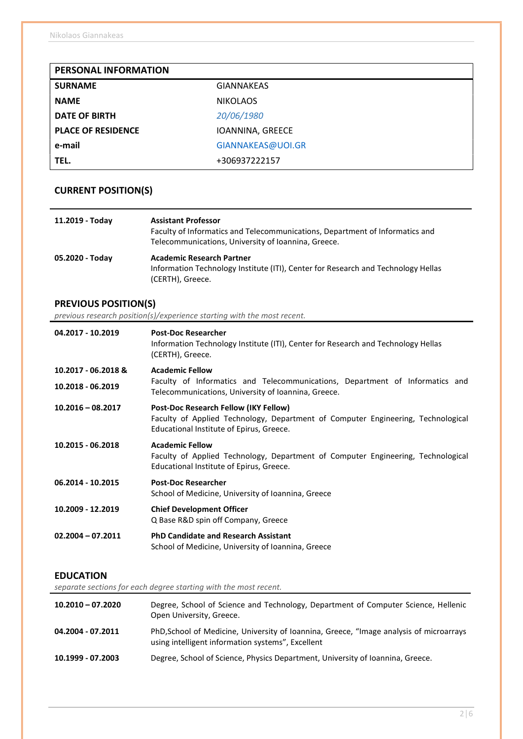| PERSONAL INFORMATION      |                   |
|---------------------------|-------------------|
| <b>SURNAME</b>            | <b>GIANNAKEAS</b> |
| <b>NAME</b>               | <b>NIKOLAOS</b>   |
| <b>DATE OF BIRTH</b>      | 20/06/1980        |
| <b>PLACE OF RESIDENCE</b> | IOANNINA, GREECE  |
| e-mail                    | GIANNAKEAS@UOI.GR |
| TEL.                      | +306937222157     |

# CURRENT POSITION(S)

| 11.2019 - Today | <b>Assistant Professor</b><br>Faculty of Informatics and Telecommunications, Department of Informatics and<br>Telecommunications, University of Ioannina, Greece. |
|-----------------|-------------------------------------------------------------------------------------------------------------------------------------------------------------------|
| 05.2020 - Today | <b>Academic Research Partner</b><br>Information Technology Institute (ITI), Center for Research and Technology Hellas<br>(CERTH), Greece.                         |

# PREVIOUS POSITION(S)

previous research position(s)/experience starting with the most recent.

| 04.2017 - 10.2019   | <b>Post-Doc Researcher</b><br>Information Technology Institute (ITI), Center for Research and Technology Hellas<br>(CERTH), Greece.                                          |  |  |
|---------------------|------------------------------------------------------------------------------------------------------------------------------------------------------------------------------|--|--|
| 10.2017 - 06.2018 & | <b>Academic Fellow</b>                                                                                                                                                       |  |  |
| 10.2018 - 06.2019   | Faculty of Informatics and Telecommunications, Department of Informatics and<br>Telecommunications, University of Ioannina, Greece.                                          |  |  |
| $10.2016 - 08.2017$ | <b>Post-Doc Research Fellow (IKY Fellow)</b><br>Faculty of Applied Technology, Department of Computer Engineering, Technological<br>Educational Institute of Epirus, Greece. |  |  |
| 10.2015 - 06.2018   | <b>Academic Fellow</b><br>Faculty of Applied Technology, Department of Computer Engineering, Technological<br>Educational Institute of Epirus, Greece.                       |  |  |
| 06.2014 - 10.2015   | <b>Post-Doc Researcher</b><br>School of Medicine, University of Ioannina, Greece                                                                                             |  |  |
| 10.2009 - 12.2019   | <b>Chief Development Officer</b><br>Q Base R&D spin off Company, Greece                                                                                                      |  |  |
| $02.2004 - 07.2011$ | <b>PhD Candidate and Research Assistant</b><br>School of Medicine, University of Ioannina, Greece                                                                            |  |  |

### EDUCATION

separate sections for each degree starting with the most recent.

| $10.2010 - 07.2020$ | Degree, School of Science and Technology, Department of Computer Science, Hellenic<br>Open University, Greece.                               |
|---------------------|----------------------------------------------------------------------------------------------------------------------------------------------|
| 04.2004 - 07.2011   | PhD, School of Medicine, University of Ioannina, Greece, "Image analysis of microarrays<br>using intelligent information systems", Excellent |
| 10.1999 - 07.2003   | Degree, School of Science, Physics Department, University of Ioannina, Greece.                                                               |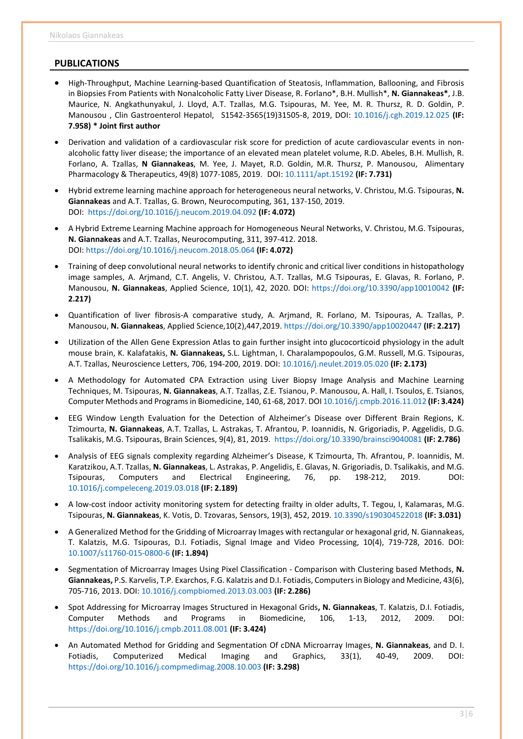### PUBLICATIONS

- High-Throughput, Machine Learning-based Quantification of Steatosis, Inflammation, Ballooning, and Fibrosis in Biopsies From Patients with Nonalcoholic Fatty Liver Disease, R. Forlano\*, B.H. Mullish\*, N. Giannakeas\*, J.B. Maurice, N. Angkathunyakul, J. Lloyd, A.T. Tzallas, M.G. Tsipouras, M. Yee, M. R. Thursz, R. D. Goldin, P. Manousou , Clin Gastroenterol Hepatol, S1542-3565(19)31505-8, 2019, DOI: 10.1016/j.cgh.2019.12.025 (IF: 7.958) \* Joint first author
- Derivation and validation of a cardiovascular risk score for prediction of acute cardiovascular events in nonalcoholic fatty liver disease; the importance of an elevated mean platelet volume, R.D. Abeles, B.H. Mullish, R. Forlano, A. Tzallas, N Giannakeas, M. Yee, J. Mayet, R.D. Goldin, M.R. Thursz, P. Manousou, Alimentary Pharmacology & Therapeutics, 49(8) 1077-1085, 2019. DOI: 10.1111/apt.15192 (IF: 7.731)
- Hybrid extreme learning machine approach for heterogeneous neural networks, V. Christou, M.G. Tsipouras, N. Giannakeas and A.T. Tzallas, G. Brown, Neurocomputing, 361, 137-150, 2019. DOI: https://doi.org/10.1016/j.neucom.2019.04.092 (IF: 4.072)
- A Hybrid Extreme Learning Machine approach for Homogeneous Neural Networks, V. Christou, M.G. Tsipouras, N. Giannakeas and A.T. Tzallas, Neurocomputing, 311, 397-412. 2018. DOI: https://doi.org/10.1016/j.neucom.2018.05.064 (IF: 4.072)
- Training of deep convolutional neural networks to identify chronic and critical liver conditions in histopathology image samples, A. Arjmand, C.T. Angelis, V. Christou, A.T. Tzallas, M.G Tsipouras, E. Glavas, R. Forlano, P. Manousou, N. Giannakeas, Applied Science, 10(1), 42, 2020. DOI: https://doi.org/10.3390/app10010042 (IF: 2.217)
- Quantification of liver fibrosis-A comparative study, A. Arjmand, R. Forlano, M. Tsipouras, A. Tzallas, P. Manousou, N. Giannakeas, Applied Science,10(2),447,2019. https://doi.org/10.3390/app10020447 (IF: 2.217)
- Utilization of the Allen Gene Expression Atlas to gain further insight into glucocorticoid physiology in the adult mouse brain, K. Kalafatakis, N. Giannakeas, S.L. Lightman, I. Charalampopoulos, G.M. Russell, M.G. Tsipouras, A.T. Tzallas, Neuroscience Letters, 706, 194-200, 2019. DOI: 10.1016/j.neulet.2019.05.020 (IF: 2.173)
- A Methodology for Automated CPA Extraction using Liver Biopsy Image Analysis and Machine Learning Techniques, M. Tsipouras, N. Giannakeas, A.T. Tzallas, Z.E. Tsianou, P. Manousou, A. Hall, I. Tsoulos, E. Tsianos, Computer Methods and Programs in Biomedicine, 140, 61-68, 2017. DOI 10.1016/j.cmpb.2016.11.012 (IF: 3.424)
- EEG Window Length Evaluation for the Detection of Alzheimer's Disease over Different Brain Regions, K. Tzimourta, N. Giannakeas, A.T. Tzallas, L. Astrakas, T. Afrantou, P. Ioannidis, N. Grigoriadis, P. Aggelidis, D.G. Tsalikakis, M.G. Tsipouras, Brain Sciences, 9(4), 81, 2019. https://doi.org/10.3390/brainsci9040081 (IF: 2.786)
- Analysis of EEG signals complexity regarding Alzheimer's Disease, K Tzimourta, Th. Afrantou, P. Ioannidis, M. Karatzikou, A.Τ. Tzallas, N. Giannakeas, L. Astrakas, P. Angelidis, E. Glavas, N. Grigoriadis, D. Tsalikakis, and M.G. Tsipouras, Computers and Electrical Engineering, 76, pp. 198-212, 2019. DOI: 10.1016/j.compeleceng.2019.03.018 (IF: 2.189)
- A low-cost indoor activity monitoring system for detecting frailty in older adults, T. Tegou, I, Kalamaras, M.G. Tsipouras, N. Giannakeas, K. Votis, D. Tzovaras, Sensors, 19(3), 452, 2019. 10.3390/s190304522018 (IF: 3.031)
- A Generalized Method for the Gridding of Microarray Images with rectangular or hexagonal grid, N. Giannakeas, T. Kalatzis, M.G. Tsipouras, D.I. Fotiadis, Signal Image and Video Processing, 10(4), 719-728, 2016. DOI: 10.1007/s11760-015-0800-6 (IF: 1.894)
- Segmentation of Microarray Images Using Pixel Classification Comparison with Clustering based Methods, N. Giannakeas, P.S. Karvelis, T.P. Exarchos, F.G. Kalatzis and D.I. Fotiadis, Computers in Biology and Medicine, 43(6), 705-716, 2013. DOI: 10.1016/j.compbiomed.2013.03.003 (IF: 2.286)
- Spot Addressing for Microarray Images Structured in Hexagonal Grids, N. Giannakeas, T. Kalatzis, D.I. Fotiadis, Computer Methods and Programs in Biomedicine, 106, 1-13, 2012, 2009. DOI: https://doi.org/10.1016/j.cmpb.2011.08.001 (IF: 3.424)
- An Automated Method for Gridding and Segmentation Of cDNA Microarray Images, N. Giannakeas, and D. I. Fotiadis, Computerized Medical Imaging and Graphics, 33(1), 40-49, 2009. DOI: https://doi.org/10.1016/j.compmedimag.2008.10.003 (IF: 3.298)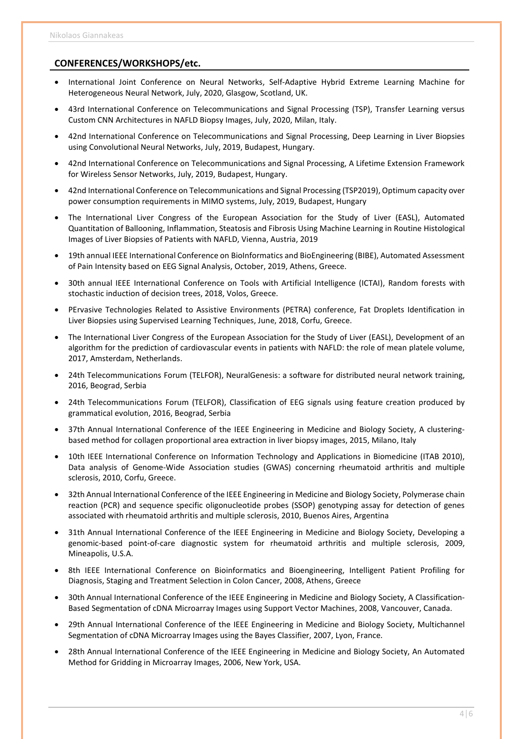#### CONFERENCES/WORKSHOPS/etc.

- International Joint Conference on Neural Networks, Self-Adaptive Hybrid Extreme Learning Machine for Heterogeneous Neural Network, July, 2020, Glasgow, Scotland, UK.
- 43rd International Conference on Telecommunications and Signal Processing (TSP), Transfer Learning versus Custom CNN Architectures in NAFLD Biopsy Images, July, 2020, Milan, Italy.
- 42nd International Conference on Telecommunications and Signal Processing, Deep Learning in Liver Biopsies using Convolutional Neural Networks, July, 2019, Budapest, Hungary.
- 42nd International Conference on Telecommunications and Signal Processing, A Lifetime Extension Framework for Wireless Sensor Networks, July, 2019, Budapest, Hungary.
- 42nd International Conference on Telecommunications and Signal Processing (TSP2019), Optimum capacity over power consumption requirements in MIMO systems, July, 2019, Budapest, Hungary
- The International Liver Congress of the European Association for the Study of Liver (EASL), Automated Quantitation of Ballooning, Inflammation, Steatosis and Fibrosis Using Machine Learning in Routine Histological Images of Liver Biopsies of Patients with NAFLD, Vienna, Austria, 2019
- 19th annual IEEE International Conference on BioInformatics and BioEngineering (BIBE), Automated Assessment of Pain Intensity based on EEG Signal Analysis, October, 2019, Athens, Greece.
- 30th annual IEEE International Conference on Tools with Artificial Intelligence (ICTAI), Random forests with stochastic induction of decision trees, 2018, Volos, Greece.
- PErvasive Technologies Related to Assistive Environments (PETRA) conference, Fat Droplets Identification in Liver Biopsies using Supervised Learning Techniques, June, 2018, Corfu, Greece.
- The International Liver Congress of the European Association for the Study of Liver (EASL), Development of an algorithm for the prediction of cardiovascular events in patients with NAFLD: the role of mean platele volume, 2017, Amsterdam, Netherlands.
- 24th Telecommunications Forum (TELFOR), NeuralGenesis: a software for distributed neural network training, 2016, Beograd, Serbia
- 24th Telecommunications Forum (TELFOR), Classification of EEG signals using feature creation produced by grammatical evolution, 2016, Beograd, Serbia
- 37th Annual International Conference of the IEEE Engineering in Medicine and Biology Society, A clusteringbased method for collagen proportional area extraction in liver biopsy images, 2015, Milano, Italy
- 10th IEEE International Conference on Information Technology and Applications in Biomedicine (ITAB 2010), Data analysis of Genome-Wide Association studies (GWAS) concerning rheumatoid arthritis and multiple sclerosis, 2010, Corfu, Greece.
- 32th Annual International Conference of the IEEE Engineering in Medicine and Biology Society, Polymerase chain reaction (PCR) and sequence specific oligonucleotide probes (SSOP) genotyping assay for detection of genes associated with rheumatoid arthritis and multiple sclerosis, 2010, Buenos Aires, Argentina
- 31th Annual International Conference of the IEEE Engineering in Medicine and Biology Society, Developing a genomic-based point-of-care diagnostic system for rheumatoid arthritis and multiple sclerosis, 2009, Mineapolis, U.S.A.
- 8th IEEE International Conference on Bioinformatics and Bioengineering, Intelligent Patient Profiling for Diagnosis, Staging and Treatment Selection in Colon Cancer, 2008, Athens, Greece
- 30th Annual International Conference of the IEEE Engineering in Medicine and Biology Society, A Classification-Based Segmentation of cDNA Microarray Images using Support Vector Machines, 2008, Vancouver, Canada.
- 29th Annual International Conference of the IEEE Engineering in Medicine and Biology Society, Multichannel Segmentation of cDNA Microarray Images using the Bayes Classifier, 2007, Lyon, France.
- 28th Annual International Conference of the IEEE Engineering in Medicine and Biology Society, An Automated Method for Gridding in Microarray Images, 2006, New York, USA.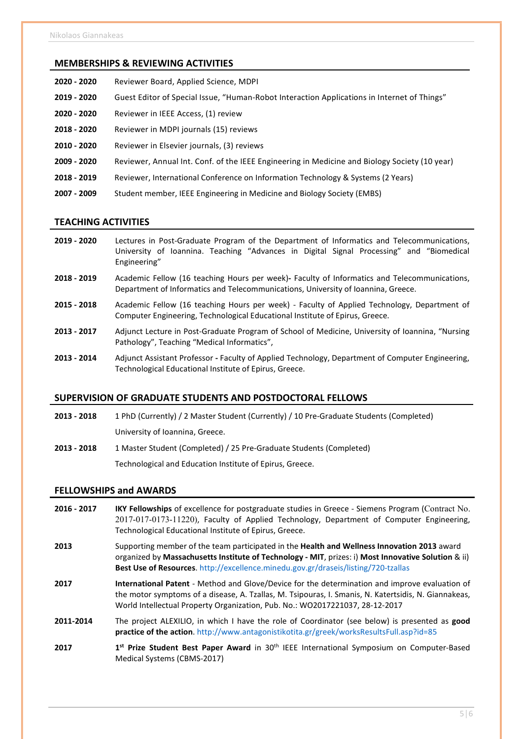### MEMBERSΗIPS & REVIEWING ACTIVITIES

- 2020 2020 Reviewer Board, Applied Science, MDPI
- 2019 2020 Guest Editor of Special Issue, "Human-Robot Interaction Applications in Internet of Things"
- 2020 2020 Reviewer in IEEE Access, (1) review
- 2018 2020 Reviewer in MDPI journals (15) reviews
- 2010 2020 Reviewer in Elsevier journals, (3) reviews
- 2009 2020 Reviewer, Annual Int. Conf. of the IEEE Engineering in Medicine and Biology Society (10 year)
- 2018 2019 Reviewer, International Conference on Information Technology & Systems (2 Years)
- 2007 2009 Student member, IEEE Engineering in Medicine and Biology Society (EMBS)

#### TEACHING ACTIVITIES

- 2019 2020 Lectures in Post-Graduate Program of the Department of Informatics and Telecommunications, University of Ioannina. Teaching "Advances in Digital Signal Processing" and "Biomedical Engineering"
- 2018 2019 Academic Fellow (16 teaching Hours per week)- Faculty of Informatics and Telecommunications, Department of Informatics and Telecommunications, University of Ioannina, Greece.
- 2015 2018 Academic Fellow (16 teaching Hours per week) Faculty of Applied Technology, Department of Computer Engineering, Technological Educational Institute of Epirus, Greece.
- 2013 2017 Adjunct Lecture in Post-Graduate Program of School of Medicine, University of Ioannina, "Nursing Pathology", Teaching "Medical Informatics",
- 2013 2014 Adjunct Assistant Professor Faculty of Applied Technology, Department of Computer Engineering, Technological Educational Institute of Epirus, Greece.

#### SUPERVISION OF GRADUATE STUDENTS AND POSTDOCTORAL FELLOWS

2013 - 2018 1 PhD (Currently) / 2 Master Student (Currently) / 10 Pre-Graduate Students (Completed) University of Ioannina, Greece. 2013 - 2018 1 Master Student (Completed) / 25 Pre-Graduate Students (Completed)

Technological and Education Institute of Epirus, Greece.

Medical Systems (CBMS-2017)

#### FELLOWSHIPS and AWARDS

2016 - 2017 IKY Fellowships of excellence for postgraduate studies in Greece - Siemens Program (Contract No. 2017-017-0173-11220), Faculty of Applied Technology, Department of Computer Engineering, Technological Educational Institute of Epirus, Greece. 2013 Supporting member of the team participated in the Health and Wellness Innovation 2013 award organized by Massachusetts Institute of Technology - MIT, prizes: i) Most Innovative Solution & ii) Best Use of Resources. http://excellence.minedu.gov.gr/draseis/listing/720-tzallas 2017 **International Patent** - Method and Glove/Device for the determination and improve evaluation of the motor symptoms of a disease, A. Tzallas, M. Tsipouras, I. Smanis, N. Katertsidis, N. Giannakeas, World Intellectual Property Organization, Pub. No.: WO2017221037, 28-12-2017 2011-2014 The project ALEXILIO, in which I have the role of Coordinator (see below) is presented as good practice of the action. http://www.antagonistikotita.gr/greek/worksResultsFull.asp?id=85 2017 1st Prize Student Best Paper Award in 30<sup>th</sup> IEEE International Symposium on Computer-Based